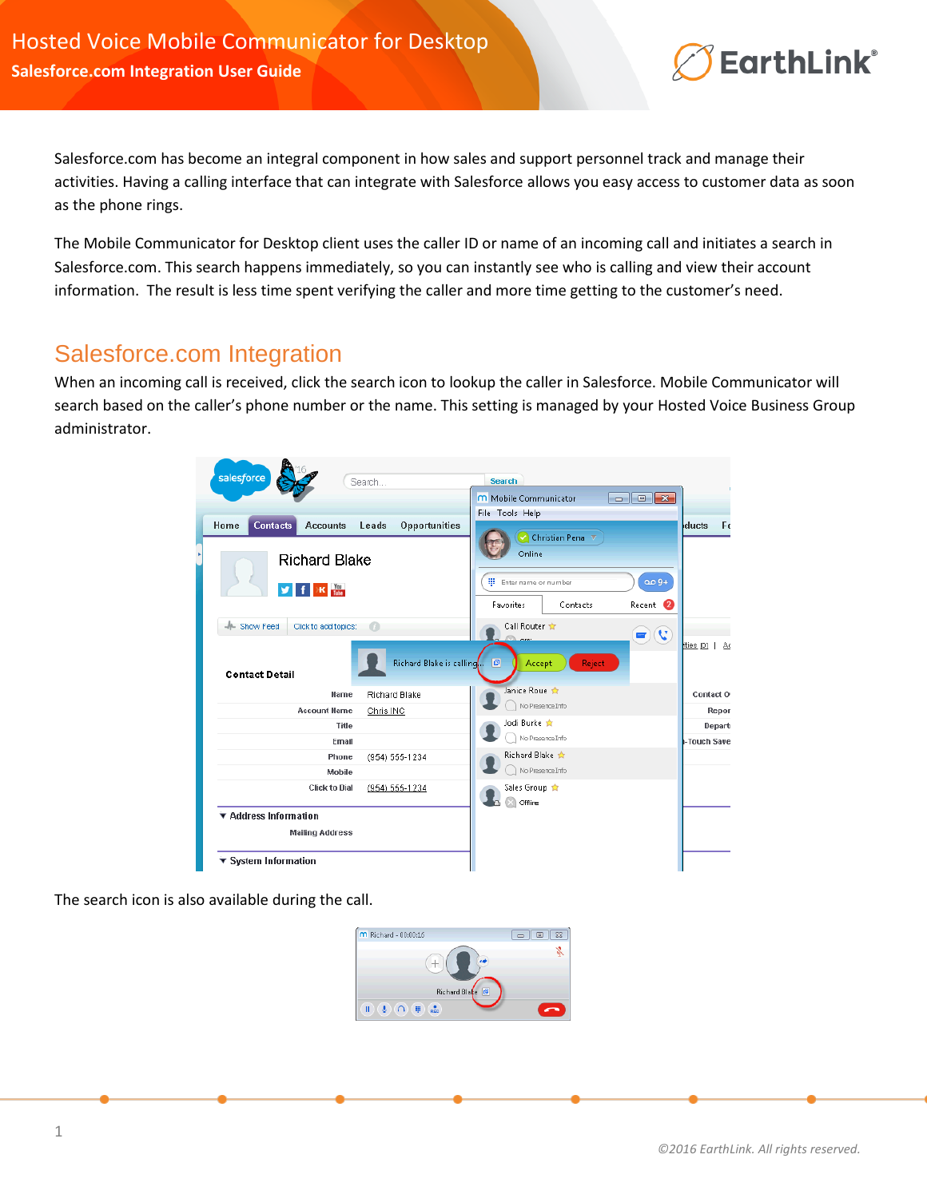## **EarthLink®**

Salesforce.com has become an integral component in how sales and support personnel track and manage their activities. Having a calling interface that can integrate with Salesforce allows you easy access to customer data as soon as the phone rings.

The Mobile Communicator for Desktop client uses the caller ID or name of an incoming call and initiates a search in Salesforce.com. This search happens immediately, so you can instantly see who is calling and view their account information. The result is less time spent verifying the caller and more time getting to the customer's need.

## Salesforce.com Integration

When an incoming call is received, click the search icon to lookup the caller in Salesforce. Mobile Communicator will search based on the caller's phone number or the name. This setting is managed by your Hosted Voice Business Group administrator.



The search icon is also available during the call.

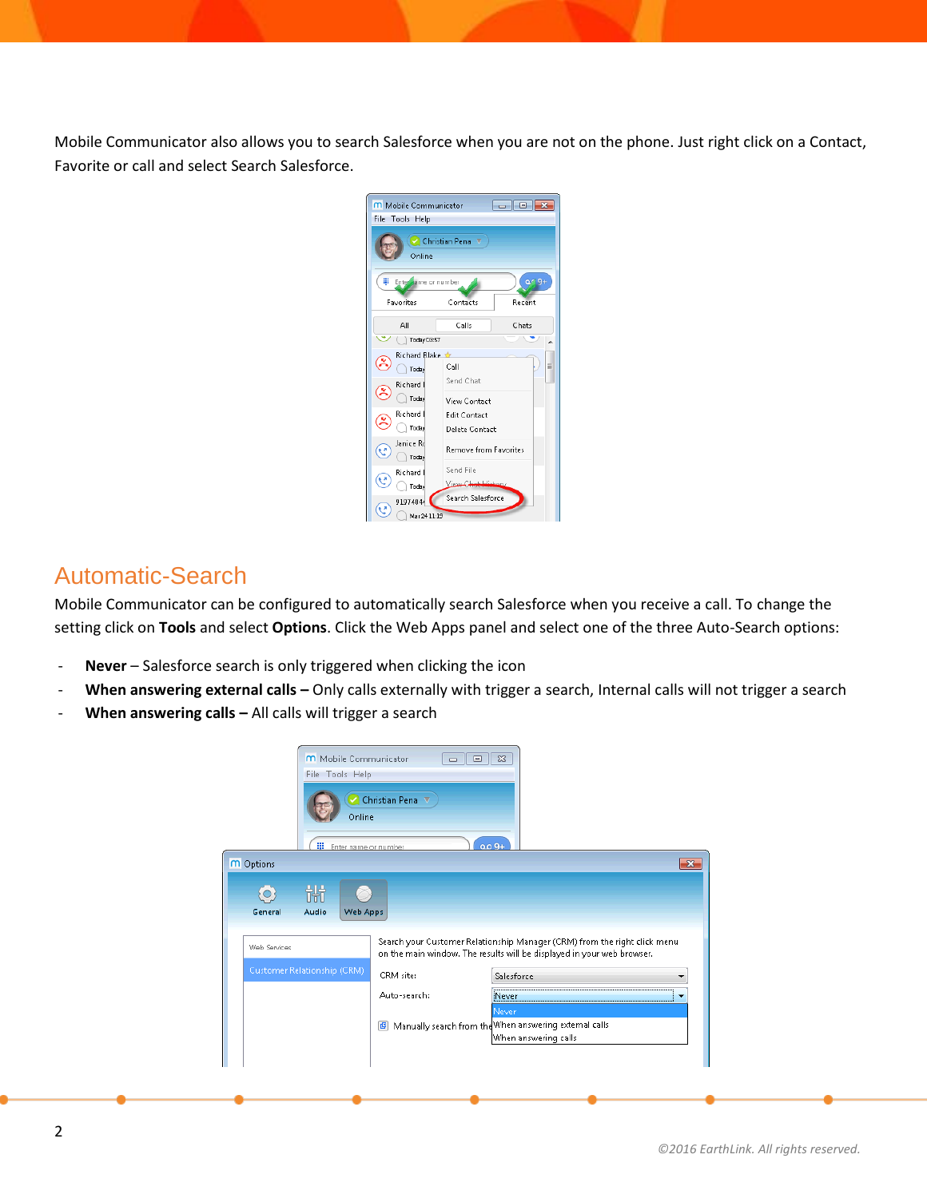Mobile Communicator also allows you to search Salesforce when you are not on the phone. Just right click on a Contact, Favorite or call and select Search Salesforce.



## Automatic-Search

Mobile Communicator can be configured to automatically search Salesforce when you receive a call. To change the setting click on **Tools** and select **Options**. Click the Web Apps panel and select one of the three Auto-Search options:

- Never Salesforce search is only triggered when clicking the icon
- When answering external calls Only calls externally with trigger a search, Internal calls will not trigger a search
- When answering calls All calls will trigger a search